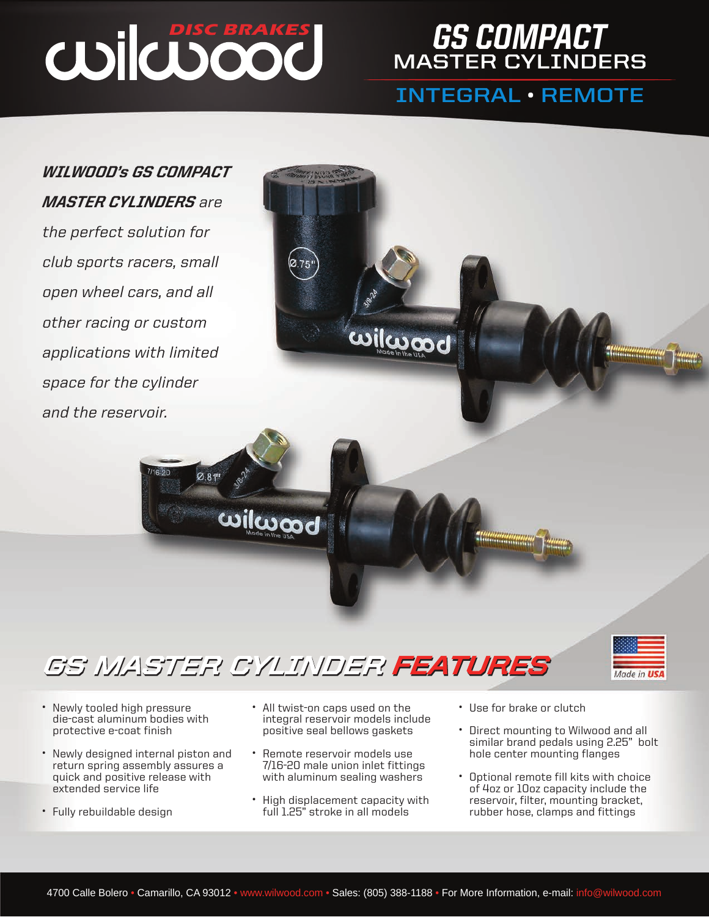**Ø.81"** 

### **[DISC BRAKES](www.wilwood.com) GS COMPACT MASTER CYLINDERS**

### **[INTEGRAL](http://www.wilwood.com/MasterCylinders/MasterCylinderList.aspx?group=GS Compact Integral Master Cylinder) • [REMOTE](http://www.wilwood.com/MasterCylinders/MasterCylinderList.aspx?group=GS Compact Remote Master Cylinder)**

*WILWOOD's GS COMPACT MASTER CYLINDERS* are the perfect solution for club sports racers, small open wheel cars, and all other racing or custom applications with limited space for the cylinder and the reservoir.

### *GS MASTER [CYLINDER FEATURES](www.wilwood.com)*

**wilwood** 



1

- Newly tooled high pressure die-cast aluminum bodies with protective e-coat finish
- Newly designed internal piston and return spring assembly assures a quick and positive release with extended service life
- Fully rebuildable design

• All twist-on caps used on the integral reservoir models include positive seal bellows gaskets

ယ။ပြယ္တတ္ထု

- Remote reservoir models use 7/16-20 male union inlet fittings with aluminum sealing washers
- High displacement capacity with full 1.25" stroke in all models
- Use for brake or clutch

,,,,,,,,,,,,,,,,,,,,,,,,

- Direct mounting to Wilwood and all similar brand pedals using 2.25" bolt hole center mounting flanges
- Optional remote fill kits with choice of 4oz or 10oz capacity include the reservoir, filter, mounting bracket, rubber hose, clamps and fittings